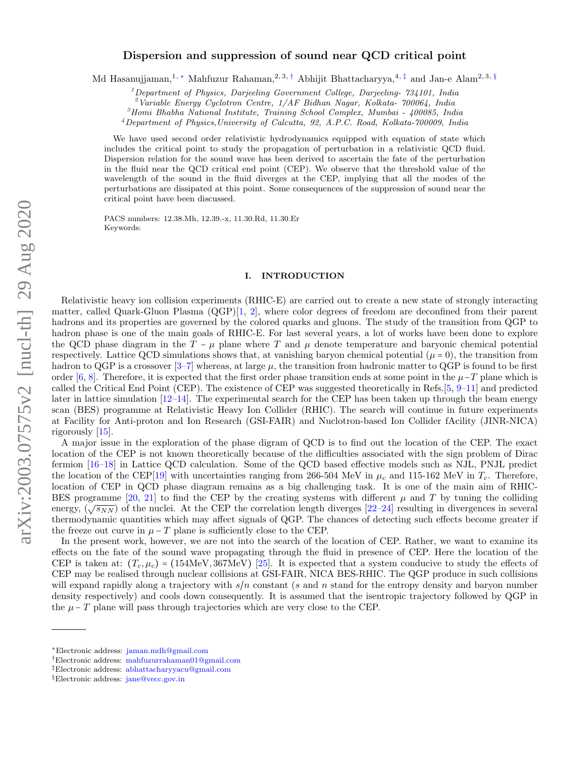# Dispersion and suppression of sound near QCD critical point

Md Hasanujjaman,<sup>1,</sup> ∗Mahfuzur Rahaman,<sup>2,3,†</sup> Abhijit Bhattacharyya,<sup>4,‡</sup> and Jan-e Alam<sup>2,3,§</sup>

 $1$ Department of Physics, Darjeeling Government College, Darjeeling-  $734101$ , India

 $2$ Variable Energy Cyclotron Centre,  $1/AF$  Bidhan Nagar, Kolkata- 700064, India

 $3$ Homi Bhabha National Institute, Training School Complex, Mumbai - 400085, India

<sup>4</sup>Department of Physics,University of Calcutta, 92, A.P.C. Road, Kolkata-700009, India

We have used second order relativistic hydrodynamics equipped with equation of state which includes the critical point to study the propagation of perturbation in a relativistic QCD fluid. Dispersion relation for the sound wave has been derived to ascertain the fate of the perturbation in the fluid near the QCD critical end point (CEP). We observe that the threshold value of the wavelength of the sound in the fluid diverges at the CEP, implying that all the modes of the perturbations are dissipated at this point. Some consequences of the suppression of sound near the critical point have been discussed.

PACS numbers: 12.38.Mh, 12.39.-x, 11.30.Rd, 11.30.Er Keywords:

# I. INTRODUCTION

Relativistic heavy ion collision experiments (RHIC-E) are carried out to create a new state of strongly interacting matter, called Quark-Gluon Plasma (QGP)[1, 2], where color degrees of freedom are deconfined from their parent hadrons and its properties are governed by the colored quarks and gluons. The study of the transition from QGP to hadron phase is one of the main goals of RHIC-E. For last several years, a lot of works have been done to explore the QCD phase diagram in the  $T - \mu$  plane where T and  $\mu$  denote temperature and baryonic chemical potential respectively. Lattice QCD simulations shows that, at vanishing baryon chemical potential  $(\mu = 0)$ , the transition from hadron to QGP is a crossover  $[3-7]$  whereas, at large  $\mu$ , the transition from hadronic matter to QGP is found to be first order [6, 8]. Therefore, it is expected that the first order phase transition ends at some point in the  $\mu$ −T plane which is called the Critical End Point (CEP). The existence of CEP was suggested theoretically in Refs.[5, 9–11] and predicted later in lattice simulation [12–14]. The experimental search for the CEP has been taken up through the beam energy scan (BES) programme at Relativistic Heavy Ion Collider (RHIC). The search will continue in future experiments at Facility for Anti-proton and Ion Research (GSI-FAIR) and Nuclotron-based Ion Collider fAcility (JINR-NICA) rigorously [15].

A major issue in the exploration of the phase digram of QCD is to find out the location of the CEP. The exact location of the CEP is not known theoretically because of the difficulties associated with the sign problem of Dirac fermion [16–18] in Lattice QCD calculation. Some of the QCD based effective models such as NJL, PNJL predict the location of the CEP[19] with uncertainties ranging from 266-504 MeV in  $\mu_c$  and 115-162 MeV in  $T_c$ . Therefore, location of CEP in QCD phase diagram remains as a big challenging task. It is one of the main aim of RHIC-BES programme [20, 21] to find the CEP by the creating systems with different  $\mu$  and T by tuning the colliding energy,  $(\sqrt{s_{NN}})$  of the nuclei. At the CEP the correlation length diverges [22–24] resulting in divergences in several thermodynamic quantities which may affect signals of QGP. The chances of detecting such effects become greater if the freeze out curve in  $\mu$  – T plane is sufficiently close to the CEP.

In the present work, however, we are not into the search of the location of CEP. Rather, we want to examine its effects on the fate of the sound wave propagating through the fluid in presence of CEP. Here the location of the CEP is taken at:  $(T_c, \mu_c)$  = (154MeV, 367MeV) [25]. It is expected that a system conducive to study the effects of CEP may be realised through nuclear collisions at GSI-FAIR, NICA BES-RHIC. The QGP produce in such collisions will expand rapidly along a trajectory with  $s/n$  constant (s and n stand for the entropy density and baryon number density respectively) and cools down consequently. It is assumed that the isentropic trajectory followed by QGP in the  $\mu$  – T plane will pass through trajectories which are very close to the CEP.

<sup>∗</sup>Electronic address: jaman.mdh@gmail.com

<sup>†</sup>Electronic address: mahfuzurrahaman01@gmail.com

<sup>‡</sup>Electronic address: abhattacharyyacu@gmail.com

<sup>§</sup>Electronic address: jane@vecc.gov.in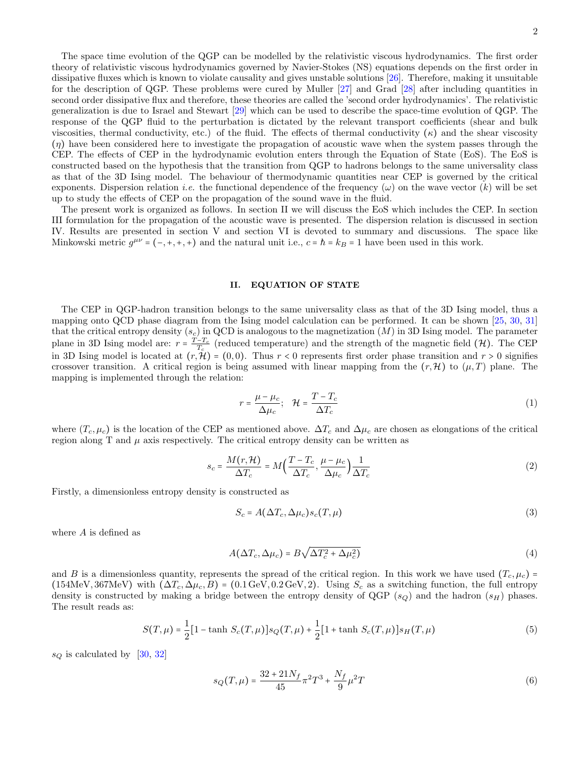The space time evolution of the QGP can be modelled by the relativistic viscous hydrodynamics. The first order theory of relativistic viscous hydrodynamics governed by Navier-Stokes (NS) equations depends on the first order in dissipative fluxes which is known to violate causality and gives unstable solutions [26]. Therefore, making it unsuitable for the description of QGP. These problems were cured by Muller [27] and Grad [28] after including quantities in second order dissipative flux and therefore, these theories are called the 'second order hydrodynamics'. The relativistic generalization is due to Israel and Stewart [29] which can be used to describe the space-time evolution of QGP. The response of the QGP fluid to the perturbation is dictated by the relevant transport coefficients (shear and bulk viscosities, thermal conductivity, etc.) of the fluid. The effects of thermal conductivity  $(\kappa)$  and the shear viscosity  $(\eta)$  have been considered here to investigate the propagation of acoustic wave when the system passes through the CEP. The effects of CEP in the hydrodynamic evolution enters through the Equation of State (EoS). The EoS is constructed based on the hypothesis that the transition from QGP to hadrons belongs to the same universality class as that of the 3D Ising model. The behaviour of thermodynamic quantities near CEP is governed by the critical exponents. Dispersion relation *i.e.* the functional dependence of the frequency  $(\omega)$  on the wave vector  $(k)$  will be set up to study the effects of CEP on the propagation of the sound wave in the fluid.

The present work is organized as follows. In section II we will discuss the EoS which includes the CEP. In section III formulation for the propagation of the acoustic wave is presented. The dispersion relation is discussed in section IV. Results are presented in section V and section VI is devoted to summary and discussions. The space like Minkowski metric  $g^{\mu\nu} = (-, +, +, +)$  and the natural unit i.e.,  $c = \hbar = k_B = 1$  have been used in this work.

# II. EQUATION OF STATE

The CEP in QGP-hadron transition belongs to the same universality class as that of the 3D Ising model, thus a mapping onto QCD phase diagram from the Ising model calculation can be performed. It can be shown [25, 30, 31] that the critical entropy density  $(s_c)$  in QCD is analogous to the magnetization  $(M)$  in 3D Ising model. The parameter plane in 3D Ising model are:  $r = \frac{T-T_c}{T_c}$  (reduced temperature) and the strength of the magnetic field (H). The CEP in 3D Ising model is located at  $(r, \mathcal{H}) = (0, 0)$ . Thus  $r < 0$  represents first order phase transition and  $r > 0$  signifies crossover transition. A critical region is being assumed with linear mapping from the  $(r, \mathcal{H})$  to  $(\mu, T)$  plane. The mapping is implemented through the relation:

$$
r = \frac{\mu - \mu_c}{\Delta \mu_c}; \quad \mathcal{H} = \frac{T - T_c}{\Delta T_c}
$$
\n<sup>(1)</sup>

where  $(T_c, \mu_c)$  is the location of the CEP as mentioned above.  $\Delta T_c$  and  $\Delta \mu_c$  are chosen as elongations of the critical region along T and  $\mu$  axis respectively. The critical entropy density can be written as

$$
s_c = \frac{M(r, \mathcal{H})}{\Delta T_c} = M \left( \frac{T - T_c}{\Delta T_c}, \frac{\mu - \mu_c}{\Delta \mu_c} \right) \frac{1}{\Delta T_c}
$$
(2)

Firstly, a dimensionless entropy density is constructed as

$$
S_c = A(\Delta T_c, \Delta \mu_c) s_c(T, \mu)
$$
\n(3)

where A is defined as

$$
A(\Delta T_c, \Delta \mu_c) = B \sqrt{\Delta T_c^2 + \Delta \mu_c^2}
$$
\n(4)

and B is a dimensionless quantity, represents the spread of the critical region. In this work we have used  $(T_c, \mu_c)$  = (154MeV, 367MeV) with  $(\Delta T_c, \Delta \mu_c, B) = (0.1 \,\text{GeV}, 0.2 \,\text{GeV}, 2)$ . Using  $S_c$  as a switching function, the full entropy density is constructed by making a bridge between the entropy density of QGP  $(s_Q)$  and the hadron  $(s_H)$  phases. The result reads as:

$$
S(T,\mu) = \frac{1}{2} [1 - \tanh S_c(T,\mu)] s_Q(T,\mu) + \frac{1}{2} [1 + \tanh S_c(T,\mu)] s_H(T,\mu)
$$
 (5)

 $s_Q$  is calculated by [30, 32]

$$
s_Q(T,\mu) = \frac{32 + 21N_f}{45} \pi^2 T^3 + \frac{N_f}{9} \mu^2 T \tag{6}
$$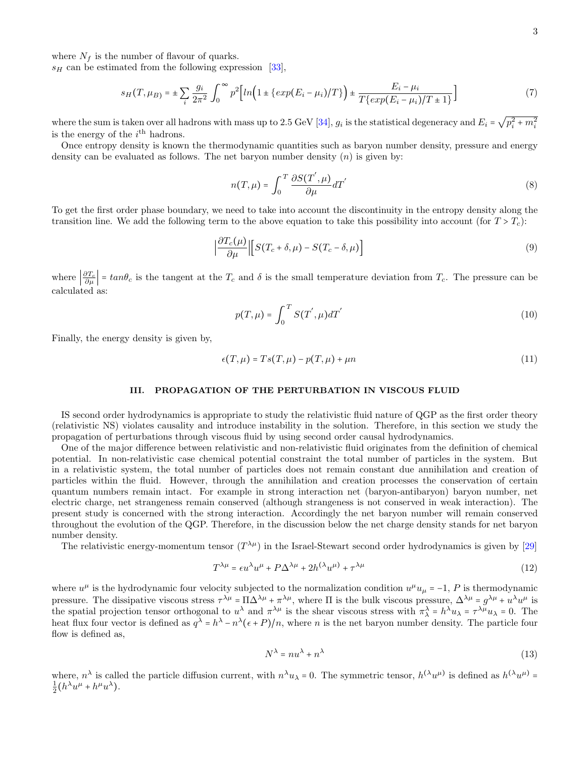where  $N_f$  is the number of flavour of quarks.

 $s_H$  can be estimated from the following expression [33].

$$
s_H(T, \mu_B) = \pm \sum_{i} \frac{g_i}{2\pi^2} \int_0^{\infty} p^2 \Big[ ln \Big( 1 \pm \{ exp(E_i - \mu_i)/T \} \Big) \pm \frac{E_i - \mu_i}{T \{ exp(E_i - \mu_i)/T \pm 1 \}} \Big] \tag{7}
$$

where the sum is taken over all hadrons with mass up to 2.5 GeV [34],  $g_i$  is the statistical degeneracy and  $E_i = \sqrt{p_i^2 + m_i^2}$ is the energy of the  $i<sup>th</sup>$  hadrons.

Once entropy density is known the thermodynamic quantities such as baryon number density, pressure and energy density can be evaluated as follows. The net baryon number density  $(n)$  is given by:

$$
n(T,\mu) = \int_0^T \frac{\partial S(T^{'}, \mu)}{\partial \mu} dT^{'}
$$
\n(8)

To get the first order phase boundary, we need to take into account the discontinuity in the entropy density along the transition line. We add the following term to the above equation to take this possibility into account (for  $T > T_c$ ):

$$
\left|\frac{\partial T_c(\mu)}{\partial \mu}\right| \left[S(T_c + \delta, \mu) - S(T_c - \delta, \mu)\right]
$$
\n(9)

where  $\left|\frac{\partial T_c}{\partial \mu}\right|$  =  $tan\theta_c$  is the tangent at the  $T_c$  and  $\delta$  is the small temperature deviation from  $T_c$ . The pressure can be calculated as:

$$
p(T,\mu) = \int_0^T S(T',\mu) dT'
$$
\n(10)

Finally, the energy density is given by,

$$
\epsilon(T,\mu) = Ts(T,\mu) - p(T,\mu) + \mu n \tag{11}
$$

#### III. PROPAGATION OF THE PERTURBATION IN VISCOUS FLUID

IS second order hydrodynamics is appropriate to study the relativistic fluid nature of QGP as the first order theory (relativistic NS) violates causality and introduce instability in the solution. Therefore, in this section we study the propagation of perturbations through viscous fluid by using second order causal hydrodynamics.

One of the major difference between relativistic and non-relativistic fluid originates from the definition of chemical potential. In non-relativistic case chemical potential constraint the total number of particles in the system. But in a relativistic system, the total number of particles does not remain constant due annihilation and creation of particles within the fluid. However, through the annihilation and creation processes the conservation of certain quantum numbers remain intact. For example in strong interaction net (baryon-antibaryon) baryon number, net electric charge, net strangeness remain conserved (although strangeness is not conserved in weak interaction). The present study is concerned with the strong interaction. Accordingly the net baryon number will remain conserved throughout the evolution of the QGP. Therefore, in the discussion below the net charge density stands for net baryon number density.

The relativistic energy-momentum tensor  $(T^{\lambda\mu})$  in the Israel-Stewart second order hydrodynamics is given by [29]

$$
T^{\lambda\mu} = \epsilon u^{\lambda} u^{\mu} + P\Delta^{\lambda\mu} + 2h^{(\lambda} u^{\mu)} + \tau^{\lambda\mu}
$$
\n(12)

where  $u^{\mu}$  is the hydrodynamic four velocity subjected to the normalization condition  $u^{\mu}u_{\mu} = -1$ , P is thermodynamic pressure. The dissipative viscous stress  $\tau^{\lambda\mu} = \Pi \Delta^{\lambda\mu} + \pi^{\lambda\mu}$ , where  $\Pi$  is the bulk viscous pressure,  $\Delta^{\lambda\mu} = g^{\lambda\mu} + u^{\lambda}u^{\mu}$  is the spatial projection tensor orthogonal to  $u^{\lambda}$  and  $\pi^{\lambda\mu}$  is the shear viscous stress with  $\pi^{\lambda} = h^{\lambda}u_{\lambda} = \tau^{\lambda\mu}u_{\lambda} = 0$ . The heat flux four vector is defined as  $q^{\lambda} = h^{\lambda} - n^{\lambda} (\epsilon + P)/n$ , where *n* is the net baryon number density. The particle four flow is defined as,

$$
N^{\lambda} = nu^{\lambda} + n^{\lambda} \tag{13}
$$

where,  $n^{\lambda}$  is called the particle diffusion current, with  $n^{\lambda}u_{\lambda} = 0$ . The symmetric tensor,  $h^{(\lambda}u^{\mu)}$  is defined as  $h^{(\lambda}u^{\mu)} = \frac{1}{2}(h^{\lambda}u^{\mu} + h^{\mu}u^{\lambda})$ .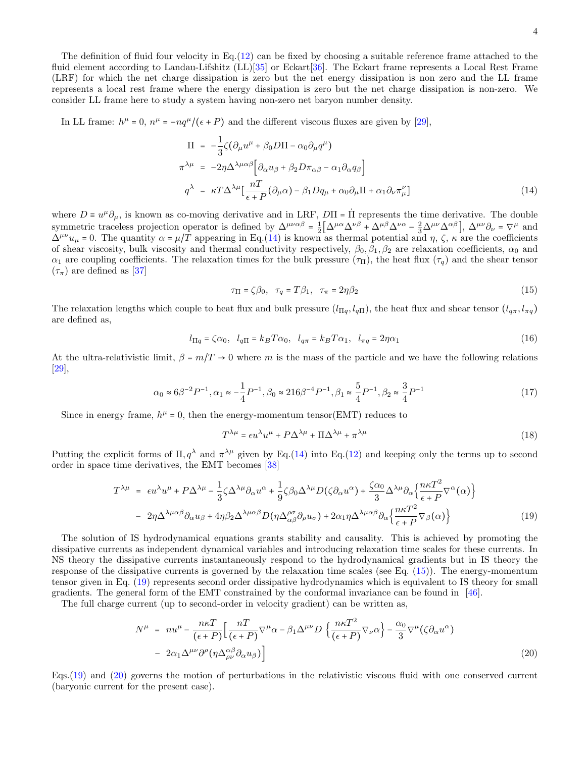The definition of fluid four velocity in Eq.(12) can be fixed by choosing a suitable reference frame attached to the fluid element according to Landau-Lifshitz  $(LL)[35]$  or Eckart $[36]$ . The Eckart frame represents a Local Rest Frame (LRF) for which the net charge dissipation is zero but the net energy dissipation is non zero and the LL frame represents a local rest frame where the energy dissipation is zero but the net charge dissipation is non-zero. We consider LL frame here to study a system having non-zero net baryon number density.

In LL frame:  $h^{\mu} = 0$ ,  $n^{\mu} = -nq^{\mu}/(\epsilon + P)$  and the different viscous fluxes are given by [29],

$$
\Pi = -\frac{1}{3}\zeta \left(\partial_{\mu}u^{\mu} + \beta_{0}D\Pi - \alpha_{0}\partial_{\mu}q^{\mu}\right)
$$
\n
$$
\pi^{\lambda\mu} = -2\eta\Delta^{\lambda\mu\alpha\beta} \left[\partial_{\alpha}u_{\beta} + \beta_{2}D\pi_{\alpha\beta} - \alpha_{1}\partial_{\alpha}q_{\beta}\right]
$$
\n
$$
q^{\lambda} = \kappa T\Delta^{\lambda\mu} \left[\frac{nT}{\epsilon + P}(\partial_{\mu}\alpha) - \beta_{1}Dq_{\mu} + \alpha_{0}\partial_{\mu}\Pi + \alpha_{1}\partial_{\nu}\pi_{\mu}^{\nu}\right]
$$
\n(14)

where  $D \equiv u^{\mu} \partial_{\mu}$ , is known as co-moving derivative and in LRF,  $D\Pi = \Pi$  represents the time derivative. The double symmetric traceless projection operator is defined by  $\Delta^{\mu\nu\alpha\beta} = \frac{1}{2} \Big[ \Delta^{\mu\alpha} \Delta^{\nu\beta} + \Delta^{\mu\beta} \Delta^{\nu\alpha} - \frac{2}{3} \Delta^{\mu\nu} \Delta^{\alpha\beta} \Big], \Delta^{\mu\nu} \partial_{\nu} = \nabla^{\mu}$  and  $\Delta^{\mu\nu}u_{\mu} = 0$ . The quantity  $\alpha = \mu/T$  appearing in Eq.(14) is known as thermal potential and  $\eta$ ,  $\zeta$ ,  $\kappa$  are the coefficients of shear viscosity, bulk viscosity and thermal conductivity respectively,  $\beta_0$ ,  $\beta_1$ ,  $\beta_2$  are relaxation coefficients,  $\alpha_0$  and  $\alpha_1$  are coupling coefficients. The relaxation times for the bulk pressure  $(\tau_{\Pi})$ , the heat flux  $(\tau_q)$  and the shear tensor  $(\tau_{\pi})$  are defined as [37]

$$
\tau_{\Pi} = \zeta \beta_0, \quad \tau_q = T \beta_1, \quad \tau_{\pi} = 2\eta \beta_2 \tag{15}
$$

The relaxation lengths which couple to heat flux and bulk pressure  $(l_{\Pi q}, l_{q\Pi})$ , the heat flux and shear tensor  $(l_{q\pi}, l_{\pi q})$ are defined as,

$$
l_{\Pi q} = \zeta \alpha_0, \quad l_{q\Pi} = k_B T \alpha_0, \quad l_{q\pi} = k_B T \alpha_1, \quad l_{\pi q} = 2\eta \alpha_1 \tag{16}
$$

At the ultra-relativistic limit,  $\beta = m/T \rightarrow 0$  where m is the mass of the particle and we have the following relations [29],

$$
\alpha_0 \approx 6\beta^{-2} P^{-1}, \alpha_1 \approx -\frac{1}{4} P^{-1}, \beta_0 \approx 216\beta^{-4} P^{-1}, \beta_1 \approx \frac{5}{4} P^{-1}, \beta_2 \approx \frac{3}{4} P^{-1}
$$
\n(17)

Since in energy frame,  $h^{\mu} = 0$ , then the energy-momentum tensor(EMT) reduces to

$$
T^{\lambda\mu} = \epsilon u^{\lambda} u^{\mu} + P \Delta^{\lambda\mu} + \Pi \Delta^{\lambda\mu} + \pi^{\lambda\mu}
$$
\n(18)

Putting the explicit forms of  $\Pi, q^{\lambda}$  and  $\pi^{\lambda\mu}$  given by Eq.(14) into Eq.(12) and keeping only the terms up to second order in space time derivatives, the EMT becomes [38]

$$
T^{\lambda\mu} = \epsilon u^{\lambda} u^{\mu} + P \Delta^{\lambda\mu} - \frac{1}{3} \zeta \Delta^{\lambda\mu} \partial_{\alpha} u^{\alpha} + \frac{1}{9} \zeta \beta_0 \Delta^{\lambda\mu} D(\zeta \partial_{\alpha} u^{\alpha}) + \frac{\zeta \alpha_0}{3} \Delta^{\lambda\mu} \partial_{\alpha} \left\{ \frac{n\kappa T^2}{\epsilon + P} \nabla^{\alpha}(\alpha) \right\}
$$

$$
- 2\eta \Delta^{\lambda\mu\alpha\beta} \partial_{\alpha} u_{\beta} + 4\eta \beta_2 \Delta^{\lambda\mu\alpha\beta} D(\eta \Delta^{\rho\sigma}_{\alpha\beta} \partial_{\rho} u_{\sigma}) + 2\alpha_1 \eta \Delta^{\lambda\mu\alpha\beta} \partial_{\alpha} \left\{ \frac{n\kappa T^2}{\epsilon + P} \nabla_{\beta}(\alpha) \right\} \tag{19}
$$

The solution of IS hydrodynamical equations grants stability and causality. This is achieved by promoting the dissipative currents as independent dynamical variables and introducing relaxation time scales for these currents. In NS theory the dissipative currents instantaneously respond to the hydrodynamical gradients but in IS theory the response of the dissipative currents is governed by the relaxation time scales (see Eq. (15)). The energy-momentum tensor given in Eq. (19) represents second order dissipative hydrodynamics which is equivalent to IS theory for small gradients. The general form of the EMT constrained by the conformal invariance can be found in [46].

The full charge current (up to second-order in velocity gradient) can be written as,

$$
N^{\mu} = nu^{\mu} - \frac{n\kappa T}{(\epsilon + P)} \Big[ \frac{nT}{(\epsilon + P)} \nabla^{\mu} \alpha - \beta_1 \Delta^{\mu \nu} D \left\{ \frac{n\kappa T^2}{(\epsilon + P)} \nabla_{\nu} \alpha \right\} - \frac{\alpha_0}{3} \nabla^{\mu} (\zeta \partial_{\alpha} u^{\alpha}) - 2\alpha_1 \Delta^{\mu \nu} \partial^{\rho} (\eta \Delta^{\alpha \beta}_{\rho \nu} \partial_{\alpha} u_{\beta}) \Big]
$$
(20)

Eqs.(19) and (20) governs the motion of perturbations in the relativistic viscous fluid with one conserved current (baryonic current for the present case).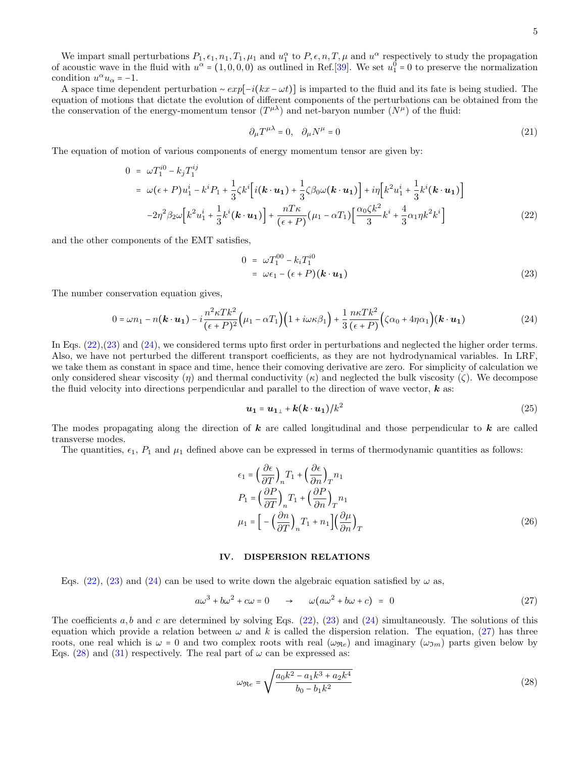We impart small perturbations  $P_1, \epsilon_1, n_1, T_1, \mu_1$  and  $u_1^{\alpha}$  to  $P, \epsilon, n, T, \mu$  and  $u_1^{\alpha}$  respectively to study the propagation of acoustic wave in the fluid with  $u^{\alpha} = (1, 0, 0, 0)$  as outlined in Ref.[39]. We set  $u_1^0 = 0$  to preserve the normalization condition  $u^{\alpha} u_{\alpha} = -1$ .

A space time dependent perturbation  $\sim exp[-i(kx - \omega t)]$  is imparted to the fluid and its fate is being studied. The equation of motions that dictate the evolution of different components of the perturbations can be obtained from the the conservation of the energy-momentum tensor  $(T^{\mu\lambda})$  and net-baryon number  $(N^{\mu})$  of the fluid:

$$
\partial_{\mu}T^{\mu\lambda} = 0, \quad \partial_{\mu}N^{\mu} = 0 \tag{21}
$$

The equation of motion of various components of energy momentum tensor are given by:

$$
0 = \omega T_1^{i0} - k_j T_1^{ij}
$$
  
=  $\omega (\epsilon + P) u_1^i - k^i P_1 + \frac{1}{3} \zeta k^i \Big[ i(\mathbf{k} \cdot \mathbf{u}_1) + \frac{1}{3} \zeta \beta_0 \omega (\mathbf{k} \cdot \mathbf{u}_1) \Big] + i \eta \Big[ k^2 u_1^i + \frac{1}{3} k^i (\mathbf{k} \cdot \mathbf{u}_1) \Big]$   
-  $2\eta^2 \beta_2 \omega \Big[ k^2 u_1^i + \frac{1}{3} k^i (\mathbf{k} \cdot \mathbf{u}_1) \Big] + \frac{n T \kappa}{(\epsilon + P)} (\mu_1 - \alpha T_1) \Big[ \frac{\alpha_0 \zeta k^2}{3} k^i + \frac{4}{3} \alpha_1 \eta k^2 k^i \Big]$  (22)

and the other components of the EMT satisfies,

$$
0 = \omega T_1^{00} - k_i T_1^{i0}
$$
  
=  $\omega \epsilon_1 - (\epsilon + P)(\mathbf{k} \cdot \mathbf{u}_1)$  (23)

The number conservation equation gives,

$$
0 = \omega n_1 - n(\mathbf{k} \cdot \mathbf{u_1}) - i \frac{n^2 \kappa T k^2}{(\epsilon + P)^2} \Big( \mu_1 - \alpha T_1 \Big) \Big( 1 + i \omega \kappa \beta_1 \Big) + \frac{1}{3} \frac{n \kappa T k^2}{(\epsilon + P)} \Big( \zeta \alpha_0 + 4 \eta \alpha_1 \Big) (\mathbf{k} \cdot \mathbf{u_1}) \tag{24}
$$

In Eqs. (22),(23) and (24), we considered terms upto first order in perturbations and neglected the higher order terms. Also, we have not perturbed the different transport coefficients, as they are not hydrodynamical variables. In LRF, we take them as constant in space and time, hence their comoving derivative are zero. For simplicity of calculation we only considered shear viscosity (η) and thermal conductivity ( $\kappa$ ) and neglected the bulk viscosity ( $\zeta$ ). We decompose the fluid velocity into directions perpendicular and parallel to the direction of wave vector,  $k$  as:

$$
\boldsymbol{u_1} = \boldsymbol{u_{1\perp}} + \boldsymbol{k}(\boldsymbol{k} \cdot \boldsymbol{u_1})/k^2 \tag{25}
$$

The modes propagating along the direction of  $k$  are called longitudinal and those perpendicular to  $k$  are called transverse modes.

The quantities,  $\epsilon_1$ ,  $P_1$  and  $\mu_1$  defined above can be expressed in terms of thermodynamic quantities as follows:

$$
\epsilon_1 = \left(\frac{\partial \epsilon}{\partial T}\right)_n T_1 + \left(\frac{\partial \epsilon}{\partial n}\right)_T n_1
$$
  
\n
$$
P_1 = \left(\frac{\partial P}{\partial T}\right)_n T_1 + \left(\frac{\partial P}{\partial n}\right)_T n_1
$$
  
\n
$$
\mu_1 = \left[-\left(\frac{\partial n}{\partial T}\right)_n T_1 + n_1\right] \left(\frac{\partial \mu}{\partial n}\right)_T
$$
\n(26)

#### IV. DISPERSION RELATIONS

Eqs. (22), (23) and (24) can be used to write down the algebraic equation satisfied by  $\omega$  as,

$$
a\omega^3 + b\omega^2 + c\omega = 0 \qquad \rightarrow \qquad \omega(a\omega^2 + b\omega + c) = 0 \tag{27}
$$

The coefficients a, b and c are determined by solving Eqs.  $(22)$ ,  $(23)$  and  $(24)$  simultaneously. The solutions of this equation which provide a relation between  $\omega$  and k is called the dispersion relation. The equation, (27) has three roots, one real which is  $\omega = 0$  and two complex roots with real  $(\omega_{\Re e})$  and imaginary  $(\omega_{\Im m})$  parts given below by Eqs. (28) and (31) respectively. The real part of  $\omega$  can be expressed as:

$$
\omega_{\Re e} = \sqrt{\frac{a_0 k^2 - a_1 k^3 + a_2 k^4}{b_0 - b_1 k^2}}
$$
\n(28)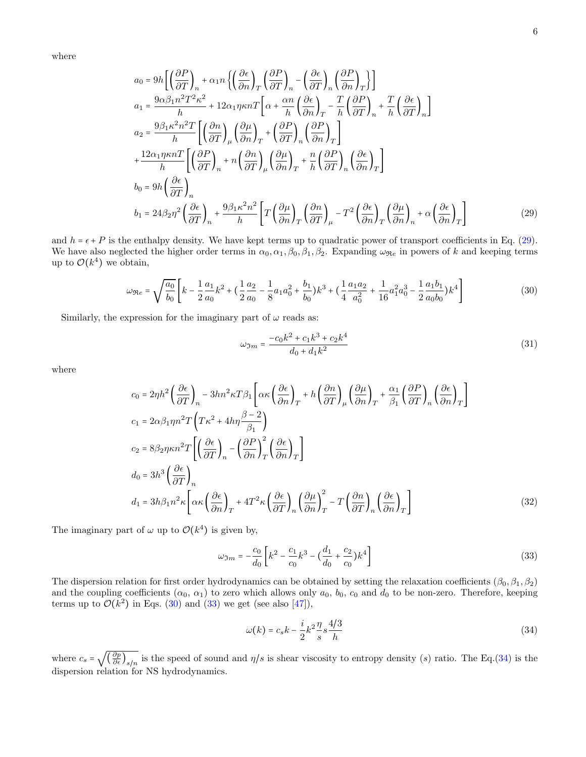where

$$
a_0 = 9h \left[ \left( \frac{\partial P}{\partial T} \right)_n + \alpha_1 n \left\{ \left( \frac{\partial \epsilon}{\partial n} \right)_T \left( \frac{\partial P}{\partial T} \right)_n - \left( \frac{\partial \epsilon}{\partial T} \right)_n \left( \frac{\partial P}{\partial n} \right)_T \right\} \right]
$$
  
\n
$$
a_1 = \frac{9\alpha\beta_1 n^2 T^2 \kappa^2}{h} + 12\alpha_1 \eta \kappa n T \left[ \alpha + \frac{\alpha n}{h} \left( \frac{\partial \epsilon}{\partial n} \right)_T - \frac{T}{h} \left( \frac{\partial P}{\partial T} \right)_n + \frac{T}{h} \left( \frac{\partial \epsilon}{\partial T} \right)_n \right]
$$
  
\n
$$
a_2 = \frac{9\beta_1 \kappa^2 n^2 T}{h} \left[ \left( \frac{\partial n}{\partial T} \right)_\mu \left( \frac{\partial \mu}{\partial n} \right)_T + \left( \frac{\partial P}{\partial T} \right)_n \left( \frac{\partial P}{\partial n} \right)_T \right]
$$
  
\n
$$
+ \frac{12\alpha_1 \eta \kappa n T}{h} \left[ \left( \frac{\partial P}{\partial T} \right)_n + n \left( \frac{\partial n}{\partial T} \right)_\mu \left( \frac{\partial \mu}{\partial n} \right)_T + \frac{n}{h} \left( \frac{\partial P}{\partial T} \right)_n \left( \frac{\partial \epsilon}{\partial n} \right)_T \right]
$$
  
\n
$$
b_0 = 9h \left( \frac{\partial \epsilon}{\partial T} \right)_n
$$
  
\n
$$
b_1 = 24\beta_2 \eta^2 \left( \frac{\partial \epsilon}{\partial T} \right)_n + \frac{9\beta_1 \kappa^2 n^2}{h} \left[ T \left( \frac{\partial \mu}{\partial n} \right)_T \left( \frac{\partial n}{\partial T} \right)_\mu - T^2 \left( \frac{\partial \epsilon}{\partial n} \right)_T \left( \frac{\partial \mu}{\partial n} \right)_n + \alpha \left( \frac{\partial \epsilon}{\partial n} \right)_T \right]
$$
(29)

and  $h = \epsilon + P$  is the enthalpy density. We have kept terms up to quadratic power of transport coefficients in Eq. (29). We have also neglected the higher order terms in  $\alpha_0, \alpha_1, \beta_0, \beta_1, \beta_2$ . Expanding  $\omega_{\Re e}$  in powers of k and keeping terms up to  $\mathcal{O}(k^4)$  we obtain,

$$
\omega_{\Re e} = \sqrt{\frac{a_0}{b_0}} \left[ k - \frac{1}{2} \frac{a_1}{a_0} k^2 + \left( \frac{1}{2} \frac{a_2}{a_0} - \frac{1}{8} a_1 a_0^2 + \frac{b_1}{b_0} \right) k^3 + \left( \frac{1}{4} \frac{a_1 a_2}{a_0^2} + \frac{1}{16} a_1^2 a_0^3 - \frac{1}{2} \frac{a_1 b_1}{a_0 b_0} \right) k^4 \right]
$$
(30)

Similarly, the expression for the imaginary part of  $\omega$  reads as:

$$
\omega_{\Im m} = \frac{-c_0 k^2 + c_1 k^3 + c_2 k^4}{d_0 + d_1 k^2} \tag{31}
$$

where

$$
c_{0} = 2\eta h^{2} \left(\frac{\partial \epsilon}{\partial T}\right)_{n} - 3hn^{2} \kappa T \beta_{1} \left[\alpha \kappa \left(\frac{\partial \epsilon}{\partial n}\right)_{T} + h \left(\frac{\partial n}{\partial T}\right)_{\mu} \left(\frac{\partial \mu}{\partial n}\right)_{T} + \frac{\alpha_{1}}{\beta_{1}} \left(\frac{\partial P}{\partial T}\right)_{n} \left(\frac{\partial \epsilon}{\partial n}\right)_{T}\right]
$$
  
\n
$$
c_{1} = 2\alpha \beta_{1} \eta n^{2} T \left(T \kappa^{2} + 4h\eta \frac{\beta - 2}{\beta_{1}}\right)
$$
  
\n
$$
c_{2} = 8\beta_{2} \eta \kappa n^{2} T \left[\left(\frac{\partial \epsilon}{\partial T}\right)_{n} - \left(\frac{\partial P}{\partial n}\right)_{T}^{2} \left(\frac{\partial \epsilon}{\partial n}\right)_{T}\right]
$$
  
\n
$$
d_{0} = 3h^{3} \left(\frac{\partial \epsilon}{\partial T}\right)_{n}
$$
  
\n
$$
d_{1} = 3h\beta_{1} n^{2} \kappa \left[\alpha \kappa \left(\frac{\partial \epsilon}{\partial n}\right)_{T} + 4T^{2} \kappa \left(\frac{\partial \epsilon}{\partial T}\right)_{n} \left(\frac{\partial \mu}{\partial n}\right)_{T}^{2} - T \left(\frac{\partial n}{\partial T}\right)_{n} \left(\frac{\partial \epsilon}{\partial n}\right)_{T}\right]
$$
\n(32)

The imaginary part of  $\omega$  up to  $\mathcal{O}(k^4)$  is given by,

$$
\omega_{\Im m} = -\frac{c_0}{d_0} \left[ k^2 - \frac{c_1}{c_0} k^3 - \left( \frac{d_1}{d_0} + \frac{c_2}{c_0} \right) k^4 \right] \tag{33}
$$

The dispersion relation for first order hydrodynamics can be obtained by setting the relaxation coefficients  $(\beta_0, \beta_1, \beta_2)$ and the coupling coefficients  $(\alpha_0, \alpha_1)$  to zero which allows only  $a_0, b_0, c_0$  and  $d_0$  to be non-zero. Therefore, keeping terms up to  $\mathcal{O}(k^2)$  in Eqs. (30) and (33) we get (see also [47]),

$$
\omega(k) = c_s k - \frac{i}{2} k^2 \frac{\eta}{s} s \frac{4/3}{h} \tag{34}
$$

where  $c_s = \sqrt{\frac{g_s g_s}{\sqrt{g_s}}}$  $\left(\frac{\partial p}{\partial \epsilon}\right)_{s/n}$  is the speed of sound and  $\eta/s$  is shear viscosity to entropy density (s) ratio. The Eq.(34) is the dispersion relation for NS hydrodynamics.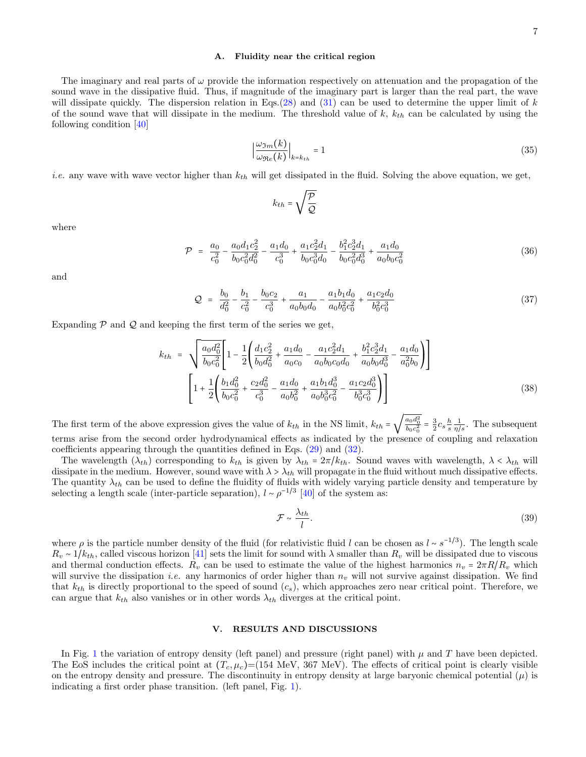#### A. Fluidity near the critical region

The imaginary and real parts of  $\omega$  provide the information respectively on attenuation and the propagation of the sound wave in the dissipative fluid. Thus, if magnitude of the imaginary part is larger than the real part, the wave will dissipate quickly. The dispersion relation in Eqs.(28) and (31) can be used to determine the upper limit of k of the sound wave that will dissipate in the medium. The threshold value of  $k$ ,  $k_{th}$  can be calculated by using the following condition [40]

$$
\left|\frac{\omega_{\Im m}(k)}{\omega_{\Re e}(k)}\right|_{k=k_{th}} = 1\tag{35}
$$

*i.e.* any wave with wave vector higher than  $k_{th}$  will get dissipated in the fluid. Solving the above equation, we get,

$$
k_{th}=\sqrt{\frac{\mathcal{P}}{\mathcal{Q}}}
$$

where

$$
\mathcal{P} = \frac{a_0}{c_0^2} - \frac{a_0 d_1 c_2^2}{b_0 c_0^2 d_0^2} - \frac{a_1 d_0}{c_0^3} + \frac{a_1 c_2^2 d_1}{b_0 c_0^3 d_0} - \frac{b_1^2 c_2^3 d_1}{b_0 c_0^2 d_0^3} + \frac{a_1 d_0}{a_0 b_0 c_0^2} \tag{36}
$$

and

$$
Q = \frac{b_0}{d_0^2} - \frac{b_1}{c_0^2} - \frac{b_0 c_2}{c_0^3} + \frac{a_1}{a_0 b_0 d_0} - \frac{a_1 b_1 d_0}{a_0 b_0^2 c_0^2} + \frac{a_1 c_2 d_0}{b_0^2 c_0^3}
$$
(37)

Expanding  $P$  and  $Q$  and keeping the first term of the series we get,

$$
k_{th} = \sqrt{\frac{a_0 d_0^2}{b_0 c_0^2}} \left[ 1 - \frac{1}{2} \left( \frac{d_1 c_2^2}{b_0 d_0^2} + \frac{a_1 d_0}{a_0 c_0} - \frac{a_1 c_2^2 d_1}{a_0 b_0 c_0 d_0} + \frac{b_1^2 c_2^3 d_1}{a_0 b_0 d_0^3} - \frac{a_1 d_0}{a_0^2 b_0} \right) \right]
$$
  

$$
\left[ 1 + \frac{1}{2} \left( \frac{b_1 d_0^2}{b_0 c_0^2} + \frac{c_2 d_0^2}{c_0^3} - \frac{a_1 d_0}{a_0 b_0^2} + \frac{a_1 b_1 d_0^3}{a_0 b_0^3 c_0^2} - \frac{a_1 c_2 d_0^3}{b_0^3 c_0^3} \right) \right]
$$
(38)

The first term of the above expression gives the value of  $k_{th}$  in the NS limit,  $k_{th}$  =  $\sqrt{\frac{a_0 d_0^2}{b_0 c_0^2}} = \frac{3}{2} c_s \frac{h}{s} \frac{1}{\eta/s}$ . The subsequent terms arise from the second order hydrodynamical effects as indicated by the presence of coupling and relaxation coefficients appearing through the quantities defined in Eqs. (29) and (32).

The wavelength  $(\lambda_{th})$  corresponding to  $k_{th}$  is given by  $\lambda_{th} = 2\pi/k_{th}$ . Sound waves with wavelength,  $\lambda < \lambda_{th}$  will dissipate in the medium. However, sound wave with  $\lambda > \lambda_{th}$  will propagate in the fluid without much dissipative effects. The quantity  $\lambda_{th}$  can be used to define the fluidity of fluids with widely varying particle density and temperature by selecting a length scale (inter-particle separation),  $l \sim \rho^{-1/3}$  [40] of the system as:

$$
\mathcal{F} \sim \frac{\lambda_{th}}{l}.\tag{39}
$$

where  $\rho$  is the particle number density of the fluid (for relativistic fluid l can be chosen as  $l \sim s^{-1/3}$ ). The length scale  $R_v \sim 1/k_{th}$ , called viscous horizon [41] sets the limit for sound with  $\lambda$  smaller than  $R_v$  will be dissipated due to viscous and thermal conduction effects.  $R_v$  can be used to estimate the value of the highest harmonics  $n_v = 2\pi R/R_v$  which will survive the dissipation *i.e.* any harmonics of order higher than  $n_v$  will not survive against dissipation. We find that  $k_{th}$  is directly proportional to the speed of sound  $(c_s)$ , which approaches zero near critical point. Therefore, we can argue that  $k_{th}$  also vanishes or in other words  $\lambda_{th}$  diverges at the critical point.

## V. RESULTS AND DISCUSSIONS

In Fig. 1 the variation of entropy density (left panel) and pressure (right panel) with  $\mu$  and  $T$  have been depicted. The EoS includes the critical point at  $(T_c, \mu_c)$ =(154 MeV, 367 MeV). The effects of critical point is clearly visible on the entropy density and pressure. The discontinuity in entropy density at large baryonic chemical potential  $(\mu)$  is indicating a first order phase transition. (left panel, Fig. 1).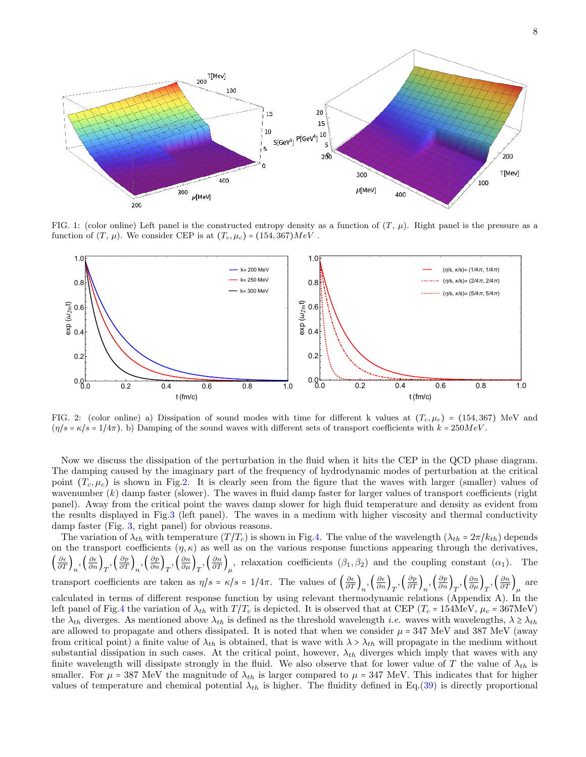

FIG. 1: (color online) Left panel is the constructed entropy density as a function of  $(T, \mu)$ . Right panel is the pressure as a function of  $(T, \mu)$ . We consider CEP is at  $(T_c, \mu_c) = (154, 367)MeV$ .



FIG. 2: (color online) a) Dissipation of sound modes with time for different k values at  $(T_c, \mu_c)$  = (154, 367) MeV and  $(\eta/s = \kappa/s = 1/4\pi)$ . b) Damping of the sound waves with different sets of transport coefficients with  $k = 250MeV$ .

Now we discuss the dissipation of the perturbation in the fluid when it hits the CEP in the QCD phase diagram. The damping caused by the imaginary part of the frequency of hydrodynamic modes of perturbation at the critical point  $(T_c, \mu_c)$  is shown in Fig.2. It is clearly seen from the figure that the waves with larger (smaller) values of wavenumber  $(k)$  damp faster (slower). The waves in fluid damp faster for larger values of transport coefficients (right panel). Away from the critical point the waves damp slower for high fluid temperature and density as evident from the results displayed in Fig.3 (left panel). The waves in a medium with higher viscosity and thermal conductivity damp faster (Fig. 3, right panel) for obvious reasons.

The variation of  $\lambda_{th}$  with temperature  $(T/T_c)$  is shown in Fig.4. The value of the wavelength  $(\lambda_{th} = 2\pi/k_{th})$  depends on the transport coefficients  $(\eta, \kappa)$  as well as on the various response functions appearing through the derivatives,  $\left(\frac{\partial \epsilon}{\partial T}\right)_n, \left(\frac{\partial \epsilon}{\partial n}\right)_T, \left(\frac{\partial p}{\partial T}\right)_n, \left(\frac{\partial n}{\partial n}\right)_T, \left(\frac{\partial n}{\partial T}\right)_\mu$ , relaxation coefficients  $(\beta_1, \beta_2)$  and the coupling constant  $(\alpha_1)$ . The transport coefficients are taken as  $\eta/s = \kappa/s = 1/4\pi$ . The values of  $\left(\frac{\partial \epsilon}{\partial T}\right)_n, \left(\frac{\partial \epsilon}{\partial n}\right)_T, \left(\frac{\partial p}{\partial T}\right)_n, \left(\frac{\partial p}{\partial n}\right)_T, \left(\frac{\partial n}{\partial \mu}\right)_T, \left(\frac{\partial n}{\partial T}\right)_\mu$  are calculated in terms of different response function by using relevant thermodynamic relations (Appendix A). In the left panel of Fig.4 the variation of  $\lambda_{th}$  with  $T/T_c$  is depicted. It is observed that at CEP ( $T_c$  = 154MeV,  $\mu_c$  = 367MeV) the  $\lambda_{th}$  diverges. As mentioned above  $\lambda_{th}$  is defined as the threshold wavelength *i.e.* waves with wavelengths,  $\lambda \geq \lambda_{th}$ are allowed to propagate and others dissipated. It is noted that when we consider  $\mu = 347$  MeV and 387 MeV (away from critical point) a finite value of  $\lambda_{th}$  is obtained, that is wave with  $\lambda > \lambda_{th}$  will propagate in the medium without substantial dissipation in such cases. At the critical point, however,  $\lambda_{th}$  diverges which imply that waves with any finite wavelength will dissipate strongly in the fluid. We also observe that for lower value of T the value of  $\lambda_{th}$  is smaller. For  $\mu = 387$  MeV the magnitude of  $\lambda_{th}$  is larger compared to  $\mu = 347$  MeV. This indicates that for higher values of temperature and chemical potential  $\lambda_{th}$  is higher. The fluidity defined in Eq.(39) is directly proportional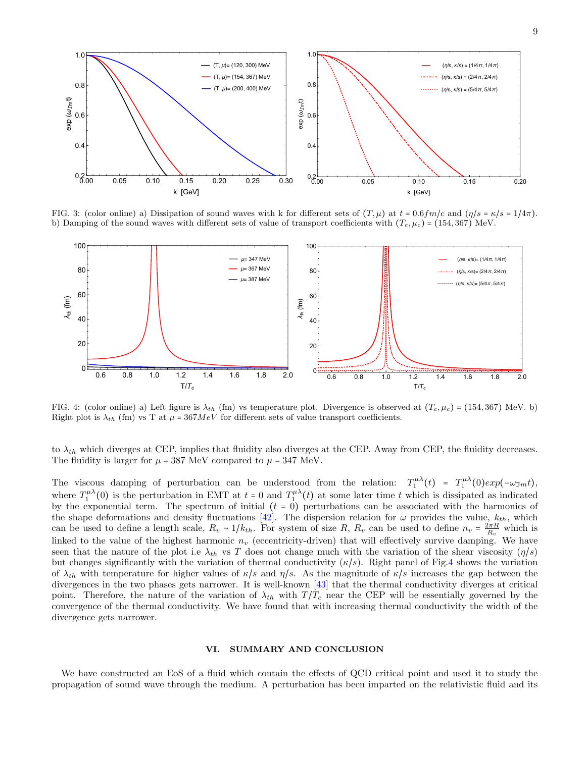

FIG. 3: (color online) a) Dissipation of sound waves with k for different sets of  $(T, \mu)$  at  $t = 0.6fm/c$  and  $(\eta/s = \kappa/s = 1/4\pi)$ . b) Damping of the sound waves with different sets of value of transport coefficients with  $(T_c, \mu_c)$  = (154, 367) MeV.



FIG. 4: (color online) a) Left figure is  $\lambda_{th}$  (fm) vs temperature plot. Divergence is observed at  $(T_c, \mu_c)$  = (154,367) MeV. b) Right plot is  $\lambda_{th}$  (fm) vs T at  $\mu = 367 MeV$  for different sets of value transport coefficients.

to  $\lambda_{th}$  which diverges at CEP, implies that fluidity also diverges at the CEP. Away from CEP, the fluidity decreases. The fluidity is larger for  $\mu = 387$  MeV compared to  $\mu = 347$  MeV.

The viscous damping of perturbation can be understood from the relation:  $T_1^{\mu\lambda}(t) = T_1^{\mu\lambda}(0) exp(-\omega_{3m} t)$ , where  $T_1^{\mu\lambda}(0)$  is the perturbation in EMT at  $t = 0$  and  $T_1^{\mu\lambda}(t)$  at some later time t which is dissipated as indicated by the exponential term. The spectrum of initial  $(t = 0)$  perturbations can be associated with the harmonics of the shape deformations and density fluctuations [42]. The dispersion relation for  $\omega$  provides the value,  $k_{th}$ , which can be used to define a length scale,  $R_v \sim 1/k_{th}$ . For system of size R,  $R_v$  can be used to define  $n_v = \frac{2\pi R}{R_v}$  which is linked to the value of the highest harmonic  $n_v$  (eccentricity-driven) that will effectively survive damping. We have seen that the nature of the plot i.e  $\lambda_{th}$  vs T does not change much with the variation of the shear viscosity  $(\eta/s)$ but changes significantly with the variation of thermal conductivity  $(\kappa/s)$ . Right panel of Fig.4 shows the variation of  $\lambda_{th}$  with temperature for higher values of  $\kappa/s$  and  $\eta/s$ . As the magnitude of  $\kappa/s$  increases the gap between the divergences in the two phases gets narrower. It is well-known [43] that the thermal conductivity diverges at critical point. Therefore, the nature of the variation of  $\lambda_{th}$  with  $T/T_c$  near the CEP will be essentially governed by the convergence of the thermal conductivity. We have found that with increasing thermal conductivity the width of the divergence gets narrower.

### VI. SUMMARY AND CONCLUSION

We have constructed an EoS of a fluid which contain the effects of QCD critical point and used it to study the propagation of sound wave through the medium. A perturbation has been imparted on the relativistic fluid and its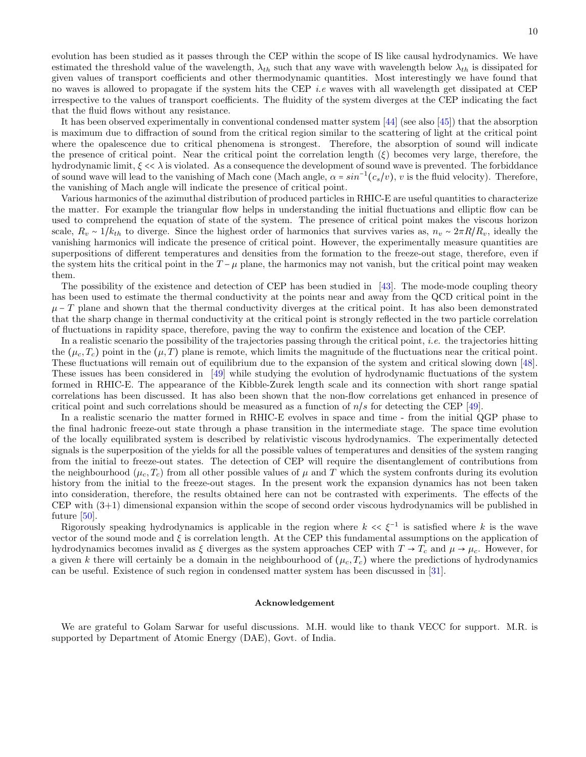evolution has been studied as it passes through the CEP within the scope of IS like causal hydrodynamics. We have estimated the threshold value of the wavelength,  $\lambda_{th}$  such that any wave with wavelength below  $\lambda_{th}$  is dissipated for given values of transport coefficients and other thermodynamic quantities. Most interestingly we have found that no waves is allowed to propagate if the system hits the CEP *i.e* waves with all wavelength get dissipated at CEP irrespective to the values of transport coefficients. The fluidity of the system diverges at the CEP indicating the fact that the fluid flows without any resistance.

It has been observed experimentally in conventional condensed matter system [44] (see also [45]) that the absorption is maximum due to diffraction of sound from the critical region similar to the scattering of light at the critical point where the opalescence due to critical phenomena is strongest. Therefore, the absorption of sound will indicate the presence of critical point. Near the critical point the correlation length  $(\xi)$  becomes very large, therefore, the hydrodynamic limit,  $\xi \ll \lambda$  is violated. As a consequence the development of sound wave is prevented. The forbiddance of sound wave will lead to the vanishing of Mach cone (Mach angle,  $\alpha = \sin^{-1}(c_s/v)$ , v is the fluid velocity). Therefore, the vanishing of Mach angle will indicate the presence of critical point.

Various harmonics of the azimuthal distribution of produced particles in RHIC-E are useful quantities to characterize the matter. For example the triangular flow helps in understanding the initial fluctuations and elliptic flow can be used to comprehend the equation of state of the system. The presence of critical point makes the viscous horizon scale,  $R_v \sim 1/k_{th}$  to diverge. Since the highest order of harmonics that survives varies as,  $n_v \sim 2\pi R/R_v$ , ideally the vanishing harmonics will indicate the presence of critical point. However, the experimentally measure quantities are superpositions of different temperatures and densities from the formation to the freeze-out stage, therefore, even if the system hits the critical point in the  $T - \mu$  plane, the harmonics may not vanish, but the critical point may weaken them.

The possibility of the existence and detection of CEP has been studied in [43]. The mode-mode coupling theory has been used to estimate the thermal conductivity at the points near and away from the QCD critical point in the  $\mu$  – T plane and shown that the thermal conductivity diverges at the critical point. It has also been demonstrated that the sharp change in thermal conductivity at the critical point is strongly reflected in the two particle correlation of fluctuations in rapidity space, therefore, paving the way to confirm the existence and location of the CEP.

In a realistic scenario the possibility of the trajectories passing through the critical point, *i.e.* the trajectories hitting the  $(\mu_c, T_c)$  point in the  $(\mu, T)$  plane is remote, which limits the magnitude of the fluctuations near the critical point. These fluctuations will remain out of equilibrium due to the expansion of the system and critical slowing down [48]. These issues has been considered in [49] while studying the evolution of hydrodynamic fluctuations of the system formed in RHIC-E. The appearance of the Kibble-Zurek length scale and its connection with short range spatial correlations has been discussed. It has also been shown that the non-flow correlations get enhanced in presence of critical point and such correlations should be measured as a function of  $n/s$  for detecting the CEP [49].

In a realistic scenario the matter formed in RHIC-E evolves in space and time - from the initial QGP phase to the final hadronic freeze-out state through a phase transition in the intermediate stage. The space time evolution of the locally equilibrated system is described by relativistic viscous hydrodynamics. The experimentally detected signals is the superposition of the yields for all the possible values of temperatures and densities of the system ranging from the initial to freeze-out states. The detection of CEP will require the disentanglement of contributions from the neighbourhood  $(\mu_c, T_c)$  from all other possible values of  $\mu$  and T which the system confronts during its evolution history from the initial to the freeze-out stages. In the present work the expansion dynamics has not been taken into consideration, therefore, the results obtained here can not be contrasted with experiments. The effects of the CEP with (3+1) dimensional expansion within the scope of second order viscous hydrodynamics will be published in future [50].

Rigorously speaking hydrodynamics is applicable in the region where  $k \ll \xi^{-1}$  is satisfied where k is the wave vector of the sound mode and ξ is correlation length. At the CEP this fundamental assumptions on the application of hydrodynamics becomes invalid as  $\xi$  diverges as the system approaches CEP with  $T \to T_c$  and  $\mu \to \mu_c$ . However, for a given k there will certainly be a domain in the neighbourhood of  $(\mu_c, T_c)$  where the predictions of hydrodynamics can be useful. Existence of such region in condensed matter system has been discussed in [31].

#### Acknowledgement

We are grateful to Golam Sarwar for useful discussions. M.H. would like to thank VECC for support. M.R. is supported by Department of Atomic Energy (DAE), Govt. of India.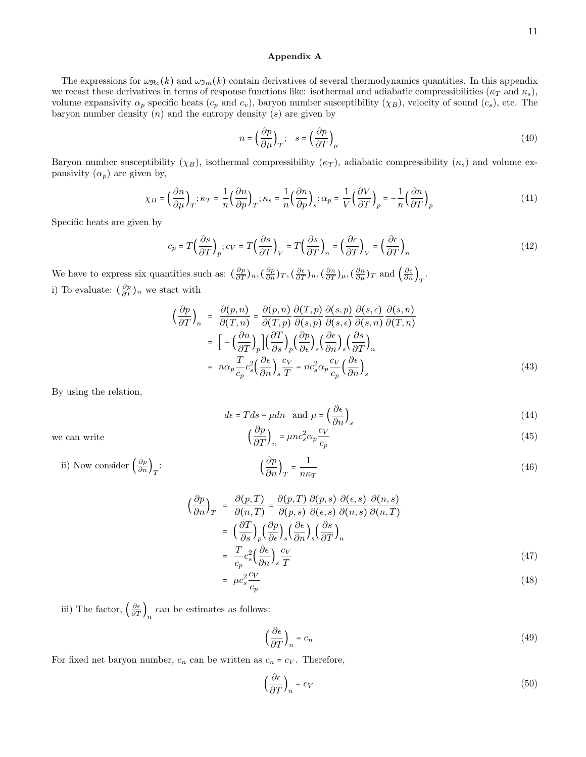(45)

# Appendix A

The expressions for  $\omega_{\Re e}(k)$  and  $\omega_{\Im m}(k)$  contain derivatives of several thermodynamics quantities. In this appendix we recast these derivatives in terms of response functions like: isothermal and adiabatic compressibilities ( $\kappa_T$  and  $\kappa_s$ ), volume expansivity  $\alpha_p$  specific heats  $(c_p \text{ and } c_v)$ , baryon number susceptibility  $(\chi_B)$ , velocity of sound  $(c_s)$ , etc. The baryon number density  $(n)$  and the entropy density  $(s)$  are given by

$$
n = \left(\frac{\partial p}{\partial \mu}\right)_T; \quad s = \left(\frac{\partial p}{\partial T}\right)_\mu \tag{40}
$$

Baryon number susceptibility ( $\chi_B$ ), isothermal compressibility ( $\kappa_T$ ), adiabatic compressibility ( $\kappa_s$ ) and volume expansivity  $(\alpha_p)$  are given by,

$$
\chi_B = \left(\frac{\partial n}{\partial \mu}\right)_T; \kappa_T = \frac{1}{n} \left(\frac{\partial n}{\partial p}\right)_T; \kappa_s = \frac{1}{n} \left(\frac{\partial n}{\partial p}\right)_s; \alpha_p = \frac{1}{V} \left(\frac{\partial V}{\partial T}\right)_p = -\frac{1}{n} \left(\frac{\partial n}{\partial T}\right)_p
$$
(41)

Specific heats are given by

$$
c_p = T\left(\frac{\partial s}{\partial T}\right)_p; c_V = T\left(\frac{\partial s}{\partial T}\right)_V = T\left(\frac{\partial s}{\partial T}\right)_n = \left(\frac{\partial \epsilon}{\partial T}\right)_V = \left(\frac{\partial \epsilon}{\partial T}\right)_n\tag{42}
$$

We have to express six quantities such as:  $\left(\frac{\partial p}{\partial T}\right)_n, \left(\frac{\partial p}{\partial n}\right)_T, \left(\frac{\partial \epsilon}{\partial T}\right)_n, \left(\frac{\partial n}{\partial T}\right)_\mu, \left(\frac{\partial n}{\partial \mu}\right)_T$  and  $\left(\frac{\partial \epsilon}{\partial n}\right)_T$ . i) To evaluate:  $(\frac{\partial p}{\partial T})_n$  we start with

$$
\left(\frac{\partial p}{\partial T}\right)_n = \frac{\partial(p,n)}{\partial(T,n)} = \frac{\partial(p,n)}{\partial(T,p)} \frac{\partial(T,p)}{\partial(s,p)} \frac{\partial(s,p)}{\partial(s,\epsilon)} \frac{\partial(s,\epsilon)}{\partial(s,n)} \frac{\partial(s,n)}{\partial(T,n)} \n= \left[ -\left(\frac{\partial n}{\partial T}\right)_p \right] \left(\frac{\partial T}{\partial s}\right)_p \left(\frac{\partial p}{\partial \epsilon}\right)_s \left(\frac{\partial \epsilon}{\partial n}\right)_s \left(\frac{\partial s}{\partial T}\right)_n \n= n\alpha_p \frac{T}{c_p} c_s^2 \left(\frac{\partial \epsilon}{\partial n}\right)_s \frac{c_V}{T} = n c_s^2 \alpha_p \frac{c_V}{c_p} \left(\frac{\partial \epsilon}{\partial n}\right)_s
$$
\n(43)

By using the relation,

$$
d\epsilon = Tds + \mu dn \text{ and } \mu = \left(\frac{\partial \epsilon}{\partial n}\right)_{s}
$$
  

$$
\left(\frac{\partial p}{\partial T}\right)_{n} = \mu n c_{s}^{2} \alpha_{p} \frac{c_{V}}{c_{p}}
$$
 (45)

we can write

ii) Now cons

$$
\text{isider } \left(\frac{\partial p}{\partial n}\right)_T: \qquad \left(\frac{\partial p}{\partial n}\right)_T = \frac{1}{n\kappa_T} \tag{46}
$$

 $c_p$ 

$$
\left(\frac{\partial p}{\partial n}\right)_T = \frac{\partial(p,T)}{\partial(n,T)} = \frac{\partial(p,T)}{\partial(p,s)} \frac{\partial(p,s)}{\partial(\epsilon,s)} \frac{\partial(\epsilon,s)}{\partial(n,s)} \frac{\partial(n,s)}{\partial(n,T)}
$$

$$
= \left(\frac{\partial T}{\partial s}\right)_p \left(\frac{\partial p}{\partial \epsilon}\right)_s \left(\frac{\partial s}{\partial n}\right)_s \left(\frac{\partial s}{\partial T}\right)_n
$$

$$
= \frac{T}{c_p} c_s^2 \left(\frac{\partial \epsilon}{\partial n}\right)_s \frac{c_V}{T}
$$
(47)
$$
= \mu c_s^2 \frac{c_V}{c_p}
$$
(48)

iii) The factor,  $\left(\frac{\partial \epsilon}{\partial T}\right)_n$  can be estimates as follows:

$$
\left(\frac{\partial \epsilon}{\partial T}\right)_n = c_n \tag{49}
$$

For fixed net baryon number,  $c_n$  can be written as  $c_n = c_V$ . Therefore,

$$
\left(\frac{\partial \epsilon}{\partial T}\right)_n = c_V \tag{50}
$$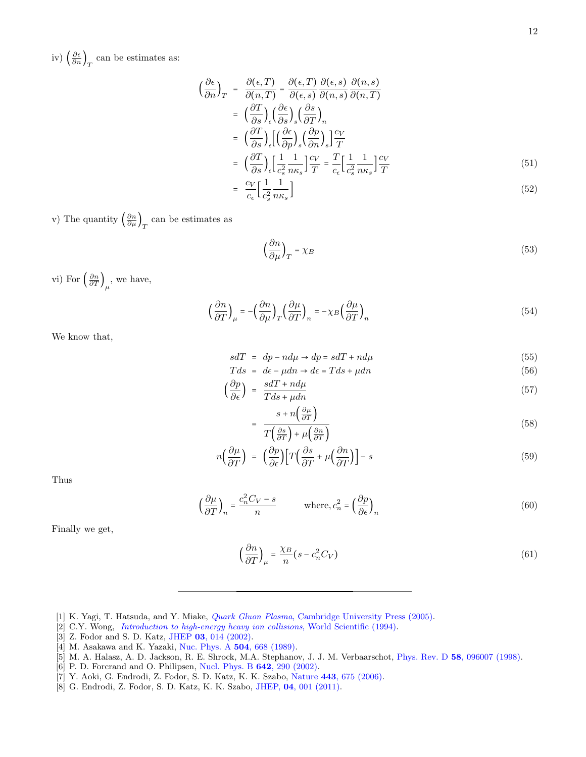iv)  $\left(\frac{\partial \epsilon}{\partial n}\right)_T$  can be estimates as:

$$
\left(\frac{\partial \epsilon}{\partial n}\right)_T = \frac{\partial (\epsilon, T)}{\partial (n, T)} = \frac{\partial (\epsilon, T)}{\partial (\epsilon, s)} \frac{\partial (\epsilon, s)}{\partial (n, s)} \frac{\partial (n, s)}{\partial (n, T)} \n= \left(\frac{\partial T}{\partial s}\right)_\epsilon \left(\frac{\partial \epsilon}{\partial s}\right)_s \left(\frac{\partial s}{\partial T}\right)_n \n= \left(\frac{\partial T}{\partial s}\right)_\epsilon \left[\left(\frac{\partial \epsilon}{\partial p}\right)_s \left(\frac{\partial p}{\partial n}\right)_s\right] \frac{c_V}{T} \n= \left(\frac{\partial T}{\partial s}\right)_\epsilon \left[\frac{1}{c_s^2} \frac{1}{n\kappa_s}\right] \frac{c_V}{T} = \frac{T}{c_\epsilon} \left[\frac{1}{c_s^2} \frac{1}{n\kappa_s}\right] \frac{c_V}{T} \n= \frac{c_V}{c_V} \left[\frac{1}{n} \frac{1}{n} \right]
$$
\n(52)

$$
\frac{c_V}{c_\epsilon} \left[ \frac{1}{c_s^2} \frac{1}{n\kappa_s} \right] \tag{52}
$$

v) The quantity  $\left(\frac{\partial n}{\partial \mu}\right)_T$  can be estimates as

$$
\left(\frac{\partial n}{\partial \mu}\right)_T = \chi_B \tag{53}
$$

vi) For  $\left(\frac{\partial n}{\partial T}\right)_\mu$ , we have,

$$
\left(\frac{\partial n}{\partial T}\right)_{\mu} = -\left(\frac{\partial n}{\partial \mu}\right)_{T} \left(\frac{\partial \mu}{\partial T}\right)_{n} = -\chi_{B} \left(\frac{\partial \mu}{\partial T}\right)_{n}
$$
\n(54)

We know that,

$$
sdT = dp - nd\mu \to dp = sdT + nd\mu \tag{55}
$$

$$
Tds = de - \mu dn \to de = Tds + \mu dn
$$
\n(56)

$$
\left(\frac{op}{\partial \epsilon}\right) = \frac{saI + na\mu}{Tds + \mu dn} \tag{57}
$$

$$
= \frac{s + n\left(\frac{\partial \mu}{\partial T}\right)}{T\left(\frac{\partial s}{\partial T}\right) + \mu\left(\frac{\partial n}{\partial T}\right)}\tag{58}
$$

$$
n\left(\frac{\partial\mu}{\partial T}\right) = \left(\frac{\partial p}{\partial \epsilon}\right) \left[T\left(\frac{\partial s}{\partial T} + \mu\left(\frac{\partial n}{\partial T}\right)\right] - s\right] \tag{59}
$$

Thus

$$
\left(\frac{\partial \mu}{\partial T}\right)_n = \frac{c_n^2 C_V - s}{n} \quad \text{where, } c_n^2 = \left(\frac{\partial p}{\partial \epsilon}\right)_n \tag{60}
$$

Finally we get,

$$
\left(\frac{\partial n}{\partial T}\right)_{\mu} = \frac{\chi_B}{n} (s - c_n^2 C_V) \tag{61}
$$

- [1] K. Yagi, T. Hatsuda, and Y. Miake, Quark Gluon Plasma, Cambridge University Press (2005).
- [2] C.Y. Wong, Introduction to high-energy heavy ion collisions, World Scientific (1994).
- [3] Z. Fodor and S. D. Katz, JHEP 03, 014 (2002).
- [4] M. Asakawa and K. Yazaki, Nuc. Phys. A 504, 668 (1989).
- [5] M. A. Halasz, A. D. Jackson, R. E. Shrock, M.A. Stephanov, J. J. M. Verbaarschot, Phys. Rev. D 58, 096007 (1998).
- [6] P. D. Forcrand and O. Philipsen, Nucl. Phys. B 642, 290 (2002).
- [7] Y. Aoki, G. Endrodi, Z. Fodor, S. D. Katz, K. K. Szabo, Nature 443, 675 (2006).
- [8] G. Endrodi, Z. Fodor, S. D. Katz, K. K. Szabo, JHEP, 04, 001 (2011).